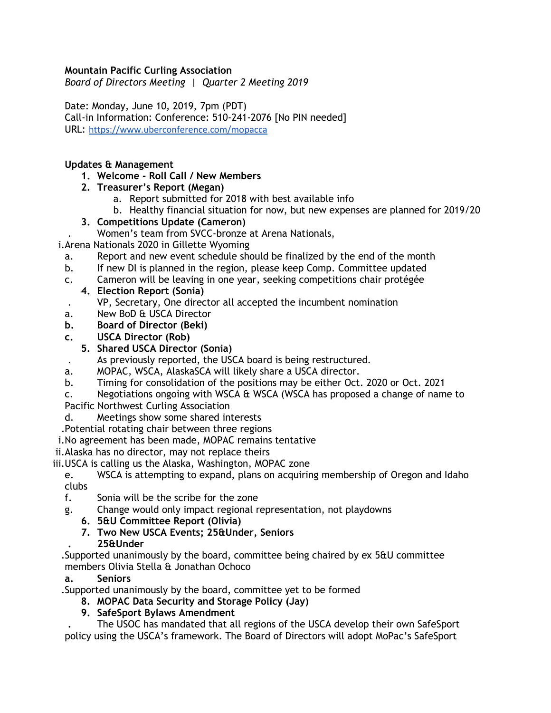### **Mountain Pacific Curling Association**

*Board of Directors Meeting | Quarter 2 Meeting 2019*

Date: Monday, June 10, 2019, 7pm (PDT) Call-in Information: Conference: 510-241-2076 [No PIN needed] URL: <https://www.uberconference.com/mopacca>

### **Updates & Management**

**1. Welcome - Roll Call / New Members**

### **2. Treasurer's Report (Megan)**

- a. Report submitted for 2018 with best available info
- b. Healthy financial situation for now, but new expenses are planned for 2019/20

### **3. Competitions Update (Cameron)**

. Women's team from SVCC-bronze at Arena Nationals,

i.Arena Nationals 2020 in Gillette Wyoming

- a. Report and new event schedule should be finalized by the end of the month
- b. If new DI is planned in the region, please keep Comp. Committee updated
- c. Cameron will be leaving in one year, seeking competitions chair protégée
	- **4. Election Report (Sonia)**
		- . VP, Secretary, One director all accepted the incumbent nomination
- a. New BoD & USCA Director
- **b. Board of Director (Beki)**
- **c. USCA Director (Rob)**

# **5. Shared USCA Director (Sonia)**

- . As previously reported, the USCA board is being restructured.
- a. MOPAC, WSCA, AlaskaSCA will likely share a USCA director.
- b. Timing for consolidation of the positions may be either Oct. 2020 or Oct. 2021
- c. Negotiations ongoing with WSCA & WSCA (WSCA has proposed a change of name to

Pacific Northwest Curling Association

- d. Meetings show some shared interests
- .Potential rotating chair between three regions
- i.No agreement has been made, MOPAC remains tentative
- ii.Alaska has no director, may not replace theirs

iii.USCA is calling us the Alaska, Washington, MOPAC zone

e. WSCA is attempting to expand, plans on acquiring membership of Oregon and Idaho clubs

- f. Sonia will be the scribe for the zone
- g. Change would only impact regional representation, not playdowns
	- **6. 5&U Committee Report (Olivia)**
	- **7. Two New USCA Events; 25&Under, Seniors**

# **. 25&Under**

.Supported unanimously by the board, committee being chaired by ex 5&U committee members Olivia Stella & Jonathan Ochoco

### **a. Seniors**

.Supported unanimously by the board, committee yet to be formed

# **8. MOPAC Data Security and Storage Policy (Jay)**

# **9. SafeSport Bylaws Amendment**

**.** The USOC has mandated that all regions of the USCA develop their own SafeSport policy using the USCA's framework. The Board of Directors will adopt MoPac's SafeSport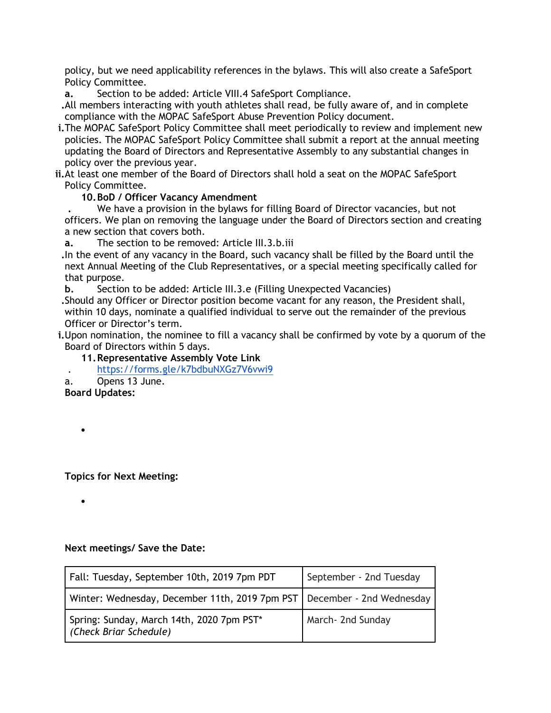policy, but we need applicability references in the bylaws. This will also create a SafeSport Policy Committee.

**a.** Section to be added: Article VIII.4 SafeSport Compliance.

**.**All members interacting with youth athletes shall read, be fully aware of, and in complete compliance with the MOPAC SafeSport Abuse Prevention Policy document.

- **i.**The MOPAC SafeSport Policy Committee shall meet periodically to review and implement new policies. The MOPAC SafeSport Policy Committee shall submit a report at the annual meeting updating the Board of Directors and Representative Assembly to any substantial changes in policy over the previous year.
- **ii.**At least one member of the Board of Directors shall hold a seat on the MOPAC SafeSport Policy Committee.

### **10.BoD / Officer Vacancy Amendment**

**.** We have a provision in the bylaws for filling Board of Director vacancies, but not officers. We plan on removing the language under the Board of Directors section and creating a new section that covers both.

**a.** The section to be removed: Article III.3.b.iii

**.**In the event of any vacancy in the Board, such vacancy shall be filled by the Board until the next Annual Meeting of the Club Representatives, or a special meeting specifically called for that purpose.

**b.** Section to be added: Article III.3.e (Filling Unexpected Vacancies)

**.**Should any Officer or Director position become vacant for any reason, the President shall, within 10 days, nominate a qualified individual to serve out the remainder of the previous Officer or Director's term.

**i.**Upon nomination, the nominee to fill a vacancy shall be confirmed by vote by a quorum of the Board of Directors within 5 days.

**11.Representative Assembly Vote Link**

. <https://forms.gle/k7bdbuNXGz7V6vwi9>

a. Opens 13 June.

**Board Updates:**

•

•

**Topics for Next Meeting:**

**Next meetings/ Save the Date:**

| Fall: Tuesday, September 10th, 2019 7pm PDT                               | September - 2nd Tuesday |
|---------------------------------------------------------------------------|-------------------------|
| Winter: Wednesday, December 11th, 2019 7pm PST   December - 2nd Wednesday |                         |
| Spring: Sunday, March 14th, 2020 7pm PST*<br>(Check Briar Schedule)       | March- 2nd Sunday       |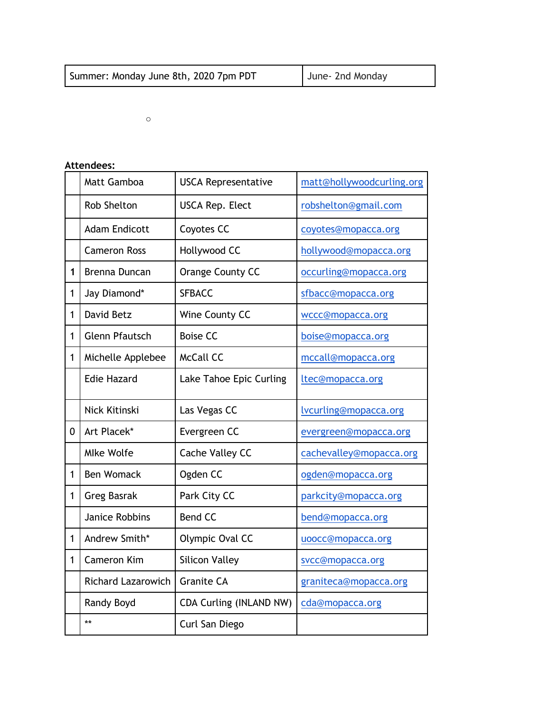| Summer: Monday June 8th, 2020 7pm PDT | June- 2nd Monday |
|---------------------------------------|------------------|
|                                       |                  |

o

# **Attendees:**

|              | Matt Gamboa               | <b>USCA Representative</b>     | matt@hollywoodcurling.org |
|--------------|---------------------------|--------------------------------|---------------------------|
|              | Rob Shelton               | <b>USCA Rep. Elect</b>         | robshelton@gmail.com      |
|              | <b>Adam Endicott</b>      | Coyotes CC                     | coyotes@mopacca.org       |
|              | <b>Cameron Ross</b>       | Hollywood CC                   | hollywood@mopacca.org     |
| $\mathbf{1}$ | Brenna Duncan             | Orange County CC               | occurling@mopacca.org     |
| $\mathbf{1}$ | Jay Diamond*              | <b>SFBACC</b>                  | sfbacc@mopacca.org        |
| $\mathbf{1}$ | David Betz                | Wine County CC                 | wccc@mopacca.org          |
| $\mathbf{1}$ | <b>Glenn Pfautsch</b>     | <b>Boise CC</b>                | boise@mopacca.org         |
| $\mathbf{1}$ | Michelle Applebee         | <b>McCall CC</b>               | mccall@mopacca.org        |
|              | <b>Edie Hazard</b>        | Lake Tahoe Epic Curling        | ltec@mopacca.org          |
|              | Nick Kitinski             | Las Vegas CC                   | lvcurling@mopacca.org     |
| 0            | Art Placek*               | Evergreen CC                   | evergreen@mopacca.org     |
|              | <b>Mlke Wolfe</b>         | Cache Valley CC                | cachevalley@mopacca.org   |
| 1            | <b>Ben Womack</b>         | Ogden CC                       | ogden@mopacca.org         |
| $\mathbf{1}$ | <b>Greg Basrak</b>        | Park City CC                   | parkcity@mopacca.org      |
|              | <b>Janice Robbins</b>     | <b>Bend CC</b>                 | bend@mopacca.org          |
| 1            | Andrew Smith*             | Olympic Oval CC                | uoocc@mopacca.org         |
| $\mathbf{1}$ | <b>Cameron Kim</b>        | <b>Silicon Valley</b>          | svcc@mopacca.org          |
|              | <b>Richard Lazarowich</b> | <b>Granite CA</b>              | graniteca@mopacca.org     |
|              | Randy Boyd                | <b>CDA Curling (INLAND NW)</b> | cda@mopacca.org           |
|              | $***$                     | Curl San Diego                 |                           |